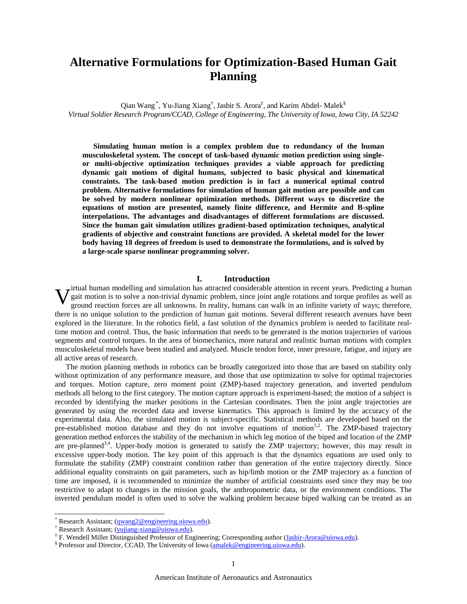# **Alternative Formulations for Optimization-Based Human Gait Planning**

Qian Wang<sup>\*</sup>, Yu-Jiang Xiang<sup>†</sup>, Jasbir S. Arora<sup>‡</sup>, and Karim Abdel-Malek<sup>§</sup> *Virtual Soldier Research Program/CCAD, College of Engineering, The University of Iowa, Iowa City, IA 52242* 

**Simulating human motion is a complex problem due to redundancy of the human musculoskeletal system. The concept of task-based dynamic motion prediction using singleor multi-objective optimization techniques provides a viable approach for predicting dynamic gait motions of digital humans, subjected to basic physical and kinematical constraints. The task-based motion prediction is in fact a numerical optimal control problem. Alternative formulations for simulation of human gait motion are possible and can be solved by modern nonlinear optimization methods. Different ways to discretize the equations of motion are presented, namely finite difference, and Hermite and B-spline interpolations. The advantages and disadvantages of different formulations are discussed. Since the human gait simulation utilizes gradient-based optimization techniques, analytical gradients of objective and constraint functions are provided. A skeletal model for the lower body having 18 degrees of freedom is used to demonstrate the formulations, and is solved by a large-scale sparse nonlinear programming solver.** 

# **I. Introduction**

irtual human modelling and simulation has attracted considerable attention in recent years. Predicting a human gait motion is to solve a non-trivial dynamic problem, since joint angle rotations and torque profiles as well as ground reaction forces are all unknowns. In reality, humans can walk in an infinite variety of ways; therefore, there is no unique solution to the prediction of human gait motions. Several different research avenues have been explored in the literature. In the robotics field, a fast solution of the dynamics problem is needed to facilitate realtime motion and control. Thus, the basic information that needs to be generated is the motion trajectories of various segments and control torques. In the area of biomechanics, more natural and realistic human motions with complex musculoskeletal models have been studied and analyzed. Muscle tendon force, inner pressure, fatigue, and injury are all active areas of research. V

 The motion planning methods in robotics can be broadly categorized into those that are based on stability only without optimization of any performance measure, and those that use optimization to solve for optimal trajectories and torques. Motion capture, zero moment point (ZMP)-based trajectory generation, and inverted pendulum methods all belong to the first category. The motion capture approach is experiment-based; the motion of a subject is recorded by identifying the marker positions in the Cartesian coordinates. Then the joint angle trajectories are generated by using the recorded data and inverse kinematics. This approach is limited by the accuracy of the experimental data. Also, the simulated motion is subject-specific. Statistical methods are developed based on the pre-established motion database and they do not involve equations of motion<sup>1,2</sup>. The ZMP-based trajectory generation method enforces the stability of the mechanism in which leg motion of the biped and location of the ZMP are pre-planned<sup>3,4</sup>. Upper-body motion is generated to satisfy the ZMP trajectory; however, this may result in excessive upper-body motion. The key point of this approach is that the dynamics equations are used only to formulate the stability (ZMP) constraint condition rather than generation of the entire trajectory directly. Since additional equality constraints on gait parameters, such as hip/limb motion or the ZMP trajectory as a function of time are imposed, it is recommended to minimize the number of artificial constraints used since they may be too restrictive to adapt to changes in the mission goals, the anthropometric data, or the environment conditions. The inverted pendulum model is often used to solve the walking problem because biped walking can be treated as an

 $\overline{a}$ 

<sup>\*</sup> Research Assistant; (qwang2@engineering.uiowa.edu).

<sup>&</sup>lt;sup>†</sup> Research Assistant; (*yujiang-xiang@uiowa.edu*).

<sup>&</sup>lt;sup>‡</sup> F. Wendell Miller Distinguished Professor of Engineering; Corresponding author (*Jasbir-Arora@uiowa.edu*).

<sup>§</sup> Professor and Director, CCAD, The University of Iowa (amalek@engineering.uiowa.edu).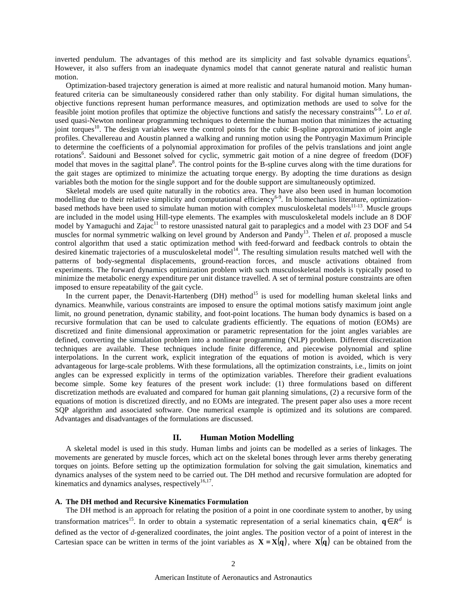inverted pendulum. The advantages of this method are its simplicity and fast solvable dynamics equations<sup>5</sup>. However, it also suffers from an inadequate dynamics model that cannot generate natural and realistic human motion.

 Optimization-based trajectory generation is aimed at more realistic and natural humanoid motion. Many humanfeatured criteria can be simultaneously considered rather than only stability. For digital human simulations, the objective functions represent human performance measures, and optimization methods are used to solve for the feasible joint motion profiles that optimize the objective functions and satisfy the necessary constraints6-9. Lo *et al*. used quasi-Newton nonlinear programming techniques to determine the human motion that minimizes the actuating joint torques<sup>10</sup>. The design variables were the control points for the cubic B-spline approximation of joint angle profiles. Chevallereau and Aoustin planned a walking and running motion using the Pontryagin Maximum Principle to determine the coefficients of a polynomial approximation for profiles of the pelvis translations and joint angle rotations<sup>6</sup>. Saidouni and Bessonet solved for cyclic, symmetric gait motion of a nine degree of freedom (DOF) model that moves in the sagittal plane<sup>8</sup>. The control points for the B-spline curves along with the time durations for the gait stages are optimized to minimize the actuating torque energy. By adopting the time durations as design variables both the motion for the single support and for the double support are simultaneously optimized.

 Skeletal models are used quite naturally in the robotics area. They have also been used in human locomotion modelling due to their relative simplicity and computational efficiency<sup>6-9</sup>. In biomechanics literature, optimizationbased methods have been used to simulate human motion with complex musculoskeletal models<sup>11-13</sup>. Muscle groups are included in the model using Hill-type elements. The examples with musculoskeletal models include an 8 DOF model by Yamaguchi and Zajac<sup>11</sup> to restore unassisted natural gait to paraplegics and a model with 23 DOF and 54 muscles for normal symmetric walking on level ground by Anderson and Pandy<sup>13</sup>. Thelen *et al.* proposed a muscle control algorithm that used a static optimization method with feed-forward and feedback controls to obtain the desired kinematic trajectories of a musculoskeletal model<sup>14</sup>. The resulting simulation results matched well with the patterns of body-segmental displacements, ground-reaction forces, and muscle activations obtained from experiments. The forward dynamics optimization problem with such musculoskeletal models is typically posed to minimize the metabolic energy expenditure per unit distance travelled. A set of terminal posture constraints are often imposed to ensure repeatability of the gait cycle.

In the current paper, the Denavit-Hartenberg (DH) method<sup>15</sup> is used for modelling human skeletal links and dynamics. Meanwhile, various constraints are imposed to ensure the optimal motions satisfy maximum joint angle limit, no ground penetration, dynamic stability, and foot-point locations. The human body dynamics is based on a recursive formulation that can be used to calculate gradients efficiently. The equations of motion (EOMs) are discretized and finite dimensional approximation or parametric representation for the joint angles variables are defined, converting the simulation problem into a nonlinear programming (NLP) problem. Different discretization techniques are available. These techniques include finite difference, and piecewise polynomial and spline interpolations. In the current work, explicit integration of the equations of motion is avoided, which is very advantageous for large-scale problems. With these formulations, all the optimization constraints, i.e., limits on joint angles can be expressed explicitly in terms of the optimization variables. Therefore their gradient evaluations become simple. Some key features of the present work include: (1) three formulations based on different discretization methods are evaluated and compared for human gait planning simulations, (2) a recursive form of the equations of motion is discretized directly, and no EOMs are integrated. The present paper also uses a more recent SQP algorithm and associated software. One numerical example is optimized and its solutions are compared. Advantages and disadvantages of the formulations are discussed.

# **II. Human Motion Modelling**

 A skeletal model is used in this study. Human limbs and joints can be modelled as a series of linkages. The movements are generated by muscle forces, which act on the skeletal bones through lever arms thereby generating torques on joints. Before setting up the optimization formulation for solving the gait simulation, kinematics and dynamics analyses of the system need to be carried out. The DH method and recursive formulation are adopted for kinematics and dynamics analyses, respectively $16,17$ .

# **A. The DH method and Recursive Kinematics Formulation**

 The DH method is an approach for relating the position of a point in one coordinate system to another, by using transformation matrices<sup>15</sup>. In order to obtain a systematic representation of a serial kinematics chain,  $q \in R^d$  is defined as the vector of *d*-generalized coordinates, the joint angles. The position vector of a point of interest in the Cartesian space can be written in terms of the joint variables as  $\mathbf{X} = \mathbf{X}(\mathbf{q})$ , where  $\mathbf{X}(\mathbf{q})$  can be obtained from the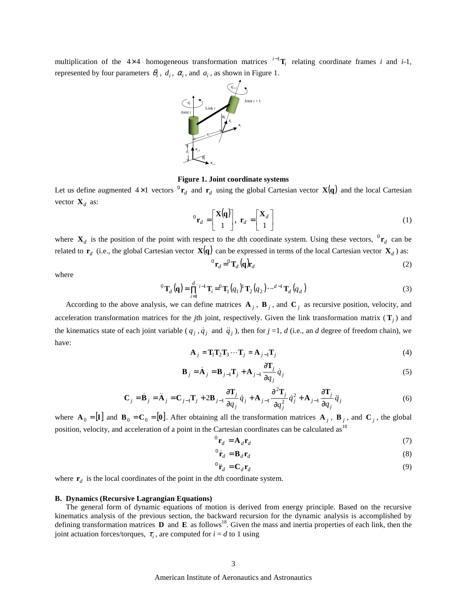multiplication of the  $4 \times 4$  homogeneous transformation matrices  $i^{-1}$ **T**<sub>i</sub> relating coordinate frames *i* and *i*-1, represented by four parameters  $\theta_i$ ,  $d_i$ ,  $\alpha_i$ , and  $a_i$ , as shown in Figure 1.



#### **Figure 1. Joint coordinate systems**

Let us define augmented  $4\times1$  vectors  ${}^0\mathbf{r}_d$  and  $\mathbf{r}_d$  using the global Cartesian vector  $\mathbf{X}(\mathbf{q})$  and the local Cartesian vector  $\mathbf{X}_d$  as:

$$
{}^{0}\mathbf{r}_{d} = \begin{bmatrix} \mathbf{X}(\mathbf{q}) \\ 1 \end{bmatrix}, \ \mathbf{r}_{d} = \begin{bmatrix} \mathbf{X}_{d} \\ 1 \end{bmatrix} \tag{1}
$$

where  $X_d$  is the position of the point with respect to the *d*th coordinate system. Using these vectors,  ${}^0\mathbf{r}_d$  can be related to  $\mathbf{r}_d$  (i.e., the global Cartesian vector  $\mathbf{X}(\mathbf{q})$  can be expressed in terms of the local Cartesian vector  $\mathbf{X}_d$ ) as:

$$
{}^{0}\mathbf{r}_{d} = {}^{0}\mathbf{T}_{d}(\mathbf{q})\mathbf{r}_{d} \tag{2}
$$

where

$$
{}^{0}\mathbf{T}_{d}\left(\mathbf{q}\right)=\prod_{i=1}^{d} {}^{i-1}\mathbf{T}_{i} = {}^{0}\mathbf{T}_{1}\left(q_{1}\right)^{1}\mathbf{T}_{2}\left(q_{2}\right)\cdots {}^{d-1}\mathbf{T}_{d}\left(q_{d}\right)
$$
\n
$$
\tag{3}
$$

According to the above analysis, we can define matrices  $A_j$ ,  $B_j$ , and  $C_j$  as recursive position, velocity, and acceleration transformation matrices for the *j*th joint, respectively. Given the link transformation matrix  $(T_j)$  and the kinematics state of each joint variable ( $q_j$ ,  $\dot{q}_j$  and  $\ddot{q}_j$ ), then for  $j = 1$ , *d* (i.e., an *d* degree of freedom chain), we have:

$$
\mathbf{A}_{j} = \mathbf{T}_{1} \mathbf{T}_{2} \mathbf{T}_{3} \cdots \mathbf{T}_{j} = \mathbf{A}_{j-1} \mathbf{T}_{j}
$$
(4)

$$
\mathbf{B}_{j} = \dot{\mathbf{A}}_{j} = \mathbf{B}_{j-1} \mathbf{T}_{j} + \mathbf{A}_{j-1} \frac{\partial \mathbf{T}_{j}}{\partial q_{j}} \dot{q}_{j}
$$
(5)

$$
\mathbf{C}_{j} = \dot{\mathbf{B}}_{j} = \ddot{\mathbf{A}}_{j} = \mathbf{C}_{j-1}\mathbf{T}_{j} + 2\mathbf{B}_{j-1}\frac{\partial \mathbf{T}_{j}}{\partial q_{j}}\dot{q}_{j} + \mathbf{A}_{j-1}\frac{\partial^{2}\mathbf{T}_{j}}{\partial q_{j}^{2}}\dot{q}_{j}^{2} + \mathbf{A}_{j-1}\frac{\partial \mathbf{T}_{j}}{\partial q_{j}}\ddot{q}_{j}
$$
(6)

where  $\mathbf{A}_0 = [\mathbf{I}]$  and  $\mathbf{B}_0 = \mathbf{C}_0 = [\mathbf{0}]$ . After obtaining all the transformation matrices  $\mathbf{A}_j$ ,  $\mathbf{B}_j$ , and  $\mathbf{C}_j$ , the global position, velocity, and acceleration of a point in the Cartesian coordinates can be calculated as<sup>18</sup>

$$
{}^{0}\mathbf{r}_{d} = \mathbf{A}_{d}\mathbf{r}_{d} \tag{7}
$$

$$
{}^{0}\dot{\mathbf{r}}_{d} = \mathbf{B}_{d}\mathbf{r}_{d} \tag{8}
$$

$$
{}^{0}\ddot{\mathbf{r}}_{d} = \mathbf{C}_{d}\mathbf{r}_{d} \tag{9}
$$

where  $\mathbf{r}_d$  is the local coordinates of the point in the *d*th coordinate system.

#### **B. Dynamics (Recursive Lagrangian Equations)**

 The general form of dynamic equations of motion is derived from energy principle. Based on the recursive kinematics analysis of the previous section, the backward recursion for the dynamic analysis is accomplished by defining transformation matrices  $\bf{D}$  and  $\bf{E}$  as follows<sup>18</sup>. Given the mass and inertia properties of each link, then the joint actuation forces/torques,  $\tau_i$ , are computed for  $i = d$  to 1 using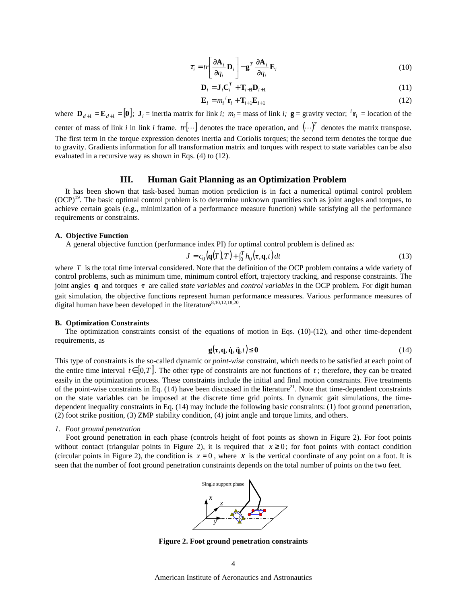$$
\tau_i = tr \left[ \frac{\partial \mathbf{A}_i}{\partial q_i} \mathbf{D}_i \right] - \mathbf{g}^T \frac{\partial \mathbf{A}_i}{\partial q_i} \mathbf{E}_i
$$
\n(10)

$$
\mathbf{D}_{i} = \mathbf{J}_{i} \mathbf{C}_{i}^{T} + \mathbf{T}_{i+1} \mathbf{D}_{i+1}
$$
\n(11)

$$
\mathbf{E}_{i} = m_{i}^{i} \mathbf{r}_{i} + \mathbf{T}_{i+1} \mathbf{E}_{i+1}
$$
 (12)

where  $\mathbf{D}_{d+1} = \mathbf{E}_{d+1} = [\mathbf{0}]$ ;  $\mathbf{J}_i$  = inertia matrix for link *i*;  $m_i$  = mass of link *i*;  $\mathbf{g}$  = gravity vector; <sup>*i*</sup>  $\mathbf{r}_i$ </sup> = location of the center of mass of link *i* in link *i* frame.  $tr[\cdots]$  denotes the trace operation, and  $(\cdots)^T$  denotes the matrix transpose. The first term in the torque expression denotes inertia and Coriolis torques; the second term denotes the torque due to gravity. Gradients information for all transformation matrix and torques with respect to state variables can be also evaluated in a recursive way as shown in Eqs. (4) to (12).

# **III. Human Gait Planning as an Optimization Problem**

It has been shown that task-based human motion prediction is in fact a numerical optimal control problem  $(OCP)<sup>19</sup>$ . The basic optimal control problem is to determine unknown quantities such as joint angles and torques, to achieve certain goals (e.g., minimization of a performance measure function) while satisfying all the performance requirements or constraints.

#### **A. Objective Function**

A general objective function (performance index PI) for optimal control problem is defined as:

$$
J = c_0(\mathbf{q}(T),T) + \int_0^T h_0(\mathbf{\tau}, \mathbf{q}, t) dt
$$
\n(13)

where  $T$  is the total time interval considered. Note that the definition of the OCP problem contains a wide variety of control problems, such as minimum time, minimum control effort, trajectory tracking, and response constraints. The joint angles **q** and torques τ are called *state variables* and *control variables* in the OCP problem. For digit human gait simulation, the objective functions represent human performance measures. Various performance measures of digital human have been developed in the literature  $8,10,12,18,20$ .

# **B. Optimization Constraints**

The optimization constraints consist of the equations of motion in Eqs. (10)-(12), and other time-dependent requirements, as

$$
\mathbf{g}(\tau, \mathbf{q}, \dot{\mathbf{q}}, \ddot{\mathbf{q}}, t) \le \mathbf{0} \tag{14}
$$

This type of constraints is the so-called dynamic or *point-wise* constraint, which needs to be satisfied at each point of the entire time interval  $t \in [0, T]$ . The other type of constraints are not functions of  $t$ ; therefore, they can be treated easily in the optimization process. These constraints include the initial and final motion constraints. Five treatments of the point-wise constraints in Eq.  $(14)$  have been discussed in the literature<sup>21</sup>. Note that time-dependent constraints on the state variables can be imposed at the discrete time grid points. In dynamic gait simulations, the timedependent inequality constraints in Eq. (14) may include the following basic constraints: (1) foot ground penetration, (2) foot strike position, (3) ZMP stability condition, (4) joint angle and torque limits, and others.

# *1. Foot ground penetration*

 Foot ground penetration in each phase (controls height of foot points as shown in Figure 2). For foot points without contact (triangular points in Figure 2), it is required that  $x \ge 0$ ; for foot points with contact condition (circular points in Figure 2), the condition is  $x = 0$ , where x is the vertical coordinate of any point on a foot. It is seen that the number of foot ground penetration constraints depends on the total number of points on the two feet.



**Figure 2. Foot ground penetration constraints**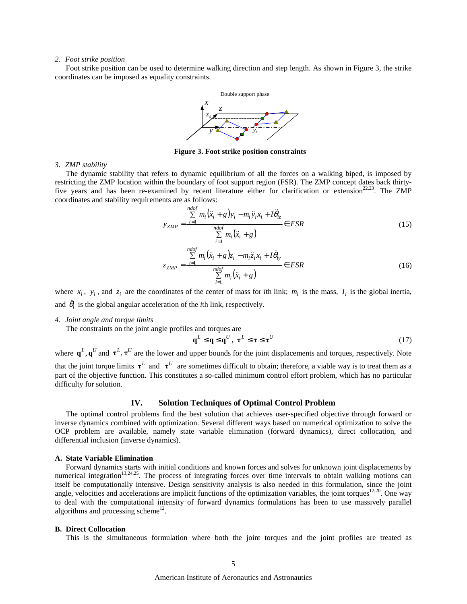#### *2. Foot strike position*

 Foot strike position can be used to determine walking direction and step length. As shown in Figure 3, the strike coordinates can be imposed as equality constraints.



**Figure 3. Foot strike position constraints** 

#### *3. ZMP stability*

 The dynamic stability that refers to dynamic equilibrium of all the forces on a walking biped, is imposed by restricting the ZMP location within the boundary of foot support region (FSR). The ZMP concept dates back thirtyfive years and has been re-examined by recent literature either for clarification or extension<sup>22,23</sup>. The ZMP coordinates and stability requirements are as follows:

$$
y_{ZMP} = \frac{\sum_{i=1}^{ndof} m_i(\ddot{x}_i + g) y_i - m_i \ddot{y}_i x_i + I \ddot{\theta}_{iz}}{\sum_{i=1}^{ndof} m_i(\ddot{x}_i + g)} \in FSR
$$
(15)

$$
z_{ZMP} = \frac{\sum_{i=1}^{ndof} m_i(\ddot{x}_i + g)z_i - m_i \ddot{z}_i x_i + I\ddot{\theta}_{iy}}{\sum_{i=1}^{ndof} m_i(\ddot{x}_i + g)} \in FSR
$$
 (16)

where  $x_i$ ,  $y_i$ , and  $z_i$  are the coordinates of the center of mass for *i*th link;  $m_i$  is the mass,  $I_i$  is the global inertia, and  $\ddot{\theta}_i$  is the global angular acceleration of the *i*th link, respectively.

#### *4. Joint angle and torque limits*

The constraints on the joint angle profiles and torques are

$$
\mathbf{q}^L \leq \mathbf{q} \leq \mathbf{q}^U, \ \mathbf{\tau}^L \leq \mathbf{\tau} \leq \mathbf{\tau}^U \tag{17}
$$

where  $\mathbf{q}^L, \mathbf{q}^U$  and  $\mathbf{\tau}^L, \mathbf{\tau}^U$  are the lower and upper bounds for the joint displacements and torques, respectively. Note that the joint torque limits  $\tau^L$  and  $\tau^U$  are sometimes difficult to obtain; therefore, a viable way is to treat them as a part of the objective function. This constitutes a so-called minimum control effort problem, which has no particular difficulty for solution.

# **IV. Solution Techniques of Optimal Control Problem**

 The optimal control problems find the best solution that achieves user-specified objective through forward or inverse dynamics combined with optimization. Several different ways based on numerical optimization to solve the OCP problem are available, namely state variable elimination (forward dynamics), direct collocation, and differential inclusion (inverse dynamics).

#### **A. State Variable Elimination**

 Forward dynamics starts with initial conditions and known forces and solves for unknown joint displacements by numerical integration<sup>13,24,25</sup>. The process of integrating forces over time intervals to obtain walking motions can itself be computationally intensive. Design sensitivity analysis is also needed in this formulation, since the joint angle, velocities and accelerations are implicit functions of the optimization variables, the joint torques $12,20$ . One way to deal with the computational intensity of forward dynamics formulations has been to use massively parallel algorithms and processing scheme $^{12}$ .

## **B. Direct Collocation**

This is the simultaneous formulation where both the joint torques and the joint profiles are treated as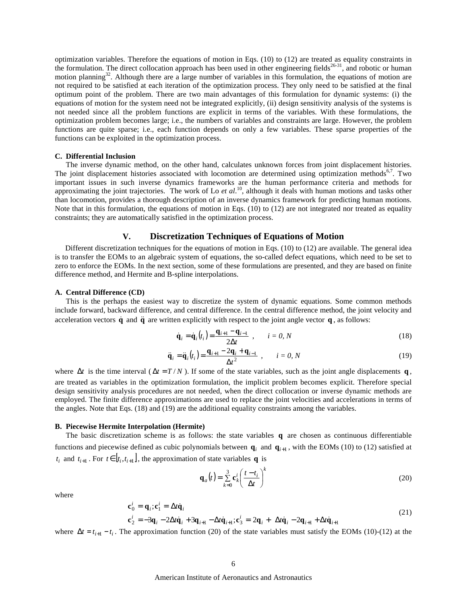optimization variables. Therefore the equations of motion in Eqs. (10) to (12) are treated as equality constraints in the formulation. The direct collocation approach has been used in other engineering fields<sup>26-31</sup>, and robotic or human the formulation. motion planning<sup>32</sup>. Although there are a large number of variables in this formulation, the equations of motion are not required to be satisfied at each iteration of the optimization process. They only need to be satisfied at the final optimum point of the problem. There are two main advantages of this formulation for dynamic systems: (i) the equations of motion for the system need not be integrated explicitly, (ii) design sensitivity analysis of the systems is not needed since all the problem functions are explicit in terms of the variables. With these formulations, the optimization problem becomes large; i.e., the numbers of variables and constraints are large. However, the problem functions are quite sparse; i.e., each function depends on only a few variables. These sparse properties of the functions can be exploited in the optimization process.

#### **C. Differential Inclusion**

 The inverse dynamic method, on the other hand, calculates unknown forces from joint displacement histories. The joint displacement histories associated with locomotion are determined using optimization methods<sup>6,7</sup>. Two important issues in such inverse dynamics frameworks are the human performance criteria and methods for approximating the joint trajectories. The work of Lo *et al*. <sup>10</sup>, although it deals with human motions and tasks other than locomotion, provides a thorough description of an inverse dynamics framework for predicting human motions. Note that in this formulation, the equations of motion in Eqs.  $(10)$  to  $(12)$  are not integrated nor treated as equality constraints; they are automatically satisfied in the optimization process.

# **V. Discretization Techniques of Equations of Motion**

Different discretization techniques for the equations of motion in Eqs. (10) to (12) are available. The general idea is to transfer the EOMs to an algebraic system of equations, the so-called defect equations, which need to be set to zero to enforce the EOMs. In the next section, some of these formulations are presented, and they are based on finite difference method, and Hermite and B-spline interpolations.

#### **A. Central Difference (CD)**

 This is the perhaps the easiest way to discretize the system of dynamic equations. Some common methods include forward, backward difference, and central difference. In the central difference method, the joint velocity and acceleration vectors  $\dot{q}$  and  $\ddot{q}$  are written explicitly with respect to the joint angle vector  $q$ , as follows:

$$
\dot{\mathbf{q}}_i = \dot{\mathbf{q}}_i(t_i) = \frac{\mathbf{q}_{i+1} - \mathbf{q}_{i-1}}{2\Delta t} , \qquad i = 0, N
$$
\n(18)

$$
\ddot{\mathbf{q}}_i = \ddot{\mathbf{q}}_i(t_i) = \frac{\mathbf{q}_{i+1} - 2\mathbf{q}_i + \mathbf{q}_{i-1}}{\Delta t^2} , \qquad i = 0, N
$$
\n(19)

where  $\Delta t$  is the time interval ( $\Delta t = T/N$ ). If some of the state variables, such as the joint angle displacements **q**, are treated as variables in the optimization formulation, the implicit problem becomes explicit. Therefore special design sensitivity analysis procedures are not needed, when the direct collocation or inverse dynamic methods are employed. The finite difference approximations are used to replace the joint velocities and accelerations in terms of the angles. Note that Eqs. (18) and (19) are the additional equality constraints among the variables.

#### **B. Piecewise Hermite Interpolation (Hermite)**

 The basic discretization scheme is as follows: the state variables **q** are chosen as continuous differentiable functions and piecewise defined as cubic polynomials between  $q_i$  and  $q_{i+1}$ , with the EOMs (10) to (12) satisfied at  $t_i$  and  $t_{i+1}$ . For  $t \in [t_i, t_{i+1}]$ , the approximation of state variables **q** is

$$
\mathbf{q}_a(t) = \sum_{k=0}^3 \mathbf{c}_k^i \left(\frac{t - t_i}{\Delta t}\right)^k
$$
 (20)

where

$$
\mathbf{c}_0^i = \mathbf{q}_i; \mathbf{c}_1^i = \Delta t \dot{\mathbf{q}}_i
$$
\n
$$
\mathbf{c}_2^i = -3\mathbf{q}_i - 2\Delta t \dot{\mathbf{q}}_i + 3\mathbf{q}_{i+1} - \Delta t \dot{\mathbf{q}}_{i+1}; \mathbf{c}_3^i = 2\mathbf{q}_i + \Delta t \dot{\mathbf{q}}_i - 2\mathbf{q}_{i+1} + \Delta t \dot{\mathbf{q}}_{i+1}
$$
\n(21)

where  $\Delta t = t_{i+1} - t_i$ . The approximation function (20) of the state variables must satisfy the EOMs (10)-(12) at the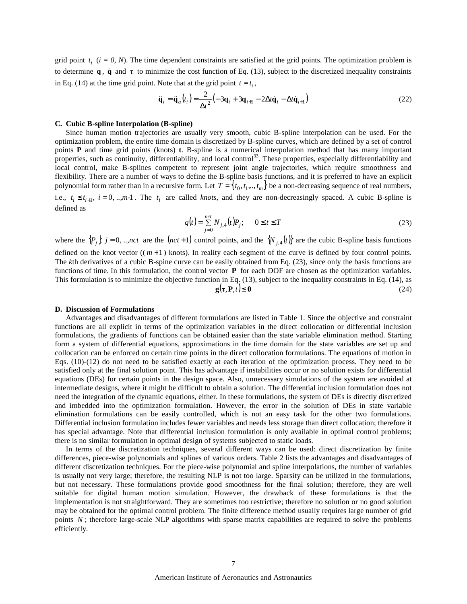grid point  $t_i$  ( $i = 0, N$ ). The time dependent constraints are satisfied at the grid points. The optimization problem is to determine **q**, **q** and  $\tau$  to minimize the cost function of Eq. (13), subject to the discretized inequality constraints in Eq. (14) at the time grid point. Note that at the grid point  $t = t_i$ ,

$$
\ddot{\mathbf{q}}_i = \ddot{\mathbf{q}}_a(t_i) = \frac{2}{\Delta t^2} \left( -3\mathbf{q}_i + 3\mathbf{q}_{i+1} - 2\Delta t \dot{\mathbf{q}}_i - \Delta t \dot{\mathbf{q}}_{i+1} \right)
$$
(22)

#### **C. Cubic B-spline Interpolation (B-spline)**

 Since human motion trajectories are usually very smooth, cubic B-spline interpolation can be used. For the optimization problem, the entire time domain is discretized by B-spline curves, which are defined by a set of control points **P** and time grid points (knots) **t**. B-spline is a numerical interpolation method that has many important properties, such as continuity, differentiability, and local control<sup>33</sup>. These properties, especially differentiability and local control, make B-splines competent to represent joint angle trajectories, which require smoothness and flexibility. There are a number of ways to define the B-spline basis functions, and it is preferred to have an explicit polynomial form rather than in a recursive form. Let  $T = \{t_0, t_1, \ldots, t_m\}$  be a non-decreasing sequence of real numbers, i.e.,  $t_i \leq t_{i+1}$ ,  $i = 0, \dots, m-1$ . The  $t_i$  are called *knots*, and they are non-decreasingly spaced. A cubic B-spline is

 $q(t) = \sum_{i=1}^{nct} N_{i,4}(t) P_i; \quad 0 \le t \le T$  $=\sum_{j=0}^{n} N_{j,4}(t)P_j;$   $0 \le t \le$ ; 0  $0^{4N}$  j, 4  $(23)$ 

where the  ${P_j}$  *j*  $j = 0, \dots$  *nct* are the  $(nct + 1)$  control points, and the  ${N_{j,4}(t)}$  are the cubic B-spline basis functions defined on the knot vector  $((m+1)$  knots). In reality each segment of the curve is defined by four control points. The *k*th derivatives of a cubic B-spine curve can be easily obtained from Eq. (23), since only the basis functions are functions of time. In this formulation, the control vector **P** for each DOF are chosen as the optimization variables. This formulation is to minimize the objective function in Eq. (13), subject to the inequality constraints in Eq. (14), as  $g(\tau, P, t) \leq 0$  (24)

#### **D. Discussion of Formulations**

defined as

 Advantages and disadvantages of different formulations are listed in Table 1. Since the objective and constraint functions are all explicit in terms of the optimization variables in the direct collocation or differential inclusion formulations, the gradients of functions can be obtained easier than the state variable elimination method. Starting form a system of differential equations, approximations in the time domain for the state variables are set up and collocation can be enforced on certain time points in the direct collocation formulations. The equations of motion in Eqs. (10)-(12) do not need to be satisfied exactly at each iteration of the optimization process. They need to be satisfied only at the final solution point. This has advantage if instabilities occur or no solution exists for differential equations (DEs) for certain points in the design space. Also, unnecessary simulations of the system are avoided at intermediate designs, where it might be difficult to obtain a solution. The differential inclusion formulation does not need the integration of the dynamic equations, either. In these formulations, the system of DEs is directly discretized and imbedded into the optimization formulation. However, the error in the solution of DEs in state variable elimination formulations can be easily controlled, which is not an easy task for the other two formulations. Differential inclusion formulation includes fewer variables and needs less storage than direct collocation; therefore it has special advantage. Note that differential inclusion formulation is only available in optimal control problems; there is no similar formulation in optimal design of systems subjected to static loads.

 In terms of the discretization techniques, several different ways can be used: direct discretization by finite differences, piece-wise polynomials and splines of various orders. Table 2 lists the advantages and disadvantages of different discretization techniques. For the piece-wise polynomial and spline interpolations, the number of variables is usually not very large; therefore, the resulting NLP is not too large. Sparsity can be utilized in the formulations, but not necessary. These formulations provide good smoothness for the final solution; therefore, they are well suitable for digital human motion simulation. However, the drawback of these formulations is that the implementation is not straightforward. They are sometimes too restrictive; therefore no solution or no good solution may be obtained for the optimal control problem. The finite difference method usually requires large number of grid points *N*; therefore large-scale NLP algorithms with sparse matrix capabilities are required to solve the problems efficiently.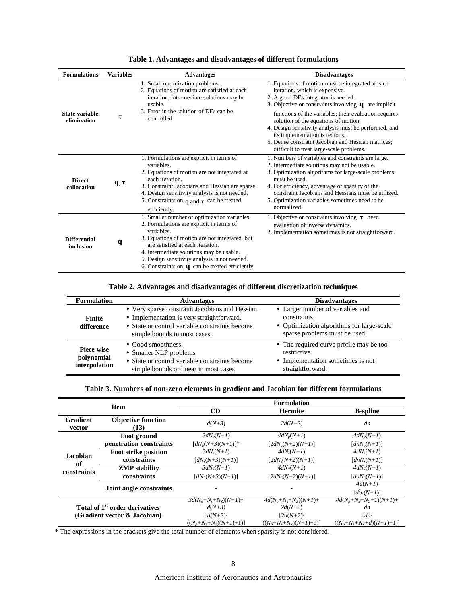| <b>Formulations</b>              | <b>Variables</b> | <b>Advantages</b>                                                                                                                                                                                                                                                                                                                              | <b>Disadvantages</b>                                                                                                                                                                                                                                                                                                                                  |  |  |
|----------------------------------|------------------|------------------------------------------------------------------------------------------------------------------------------------------------------------------------------------------------------------------------------------------------------------------------------------------------------------------------------------------------|-------------------------------------------------------------------------------------------------------------------------------------------------------------------------------------------------------------------------------------------------------------------------------------------------------------------------------------------------------|--|--|
|                                  |                  | 1. Small optimization problems.<br>2. Equations of motion are satisfied at each<br>iteration; intermediate solutions may be<br>usable.                                                                                                                                                                                                         | 1. Equations of motion must be integrated at each<br>iteration, which is expensive.<br>2. A good DEs integrator is needed.<br>3. Objective or constraints involving $\boldsymbol{q}$ are implicit                                                                                                                                                     |  |  |
| State variable<br>elimination    | τ                | 3. Error in the solution of DEs can be.<br>controlled.                                                                                                                                                                                                                                                                                         | functions of the variables; their evaluation requires<br>solution of the equations of motion.<br>4. Design sensitivity analysis must be performed, and<br>its implementation is tedious.<br>5. Dense constraint Jacobian and Hessian matrices;                                                                                                        |  |  |
|                                  |                  |                                                                                                                                                                                                                                                                                                                                                | difficult to treat large-scale problems.                                                                                                                                                                                                                                                                                                              |  |  |
| <b>Direct</b><br>collocation     | $q, \tau$        | 1. Formulations are explicit in terms of<br>variables.<br>2. Equations of motion are not integrated at<br>each iteration.<br>3. Constraint Jacobians and Hessian are sparse.<br>4. Design sensitivity analysis is not needed.<br>5. Constraints on $\mathbf q$ and $\mathbf \tau$ can be treated<br>efficiently.                               | 1. Numbers of variables and constraints are large.<br>2. Intermediate solutions may not be usable.<br>3. Optimization algorithms for large-scale problems<br>must be used.<br>4. For efficiency, advantage of sparsity of the<br>constraint Jacobians and Hessians must be utilized.<br>5. Optimization variables sometimes need to be<br>normalized. |  |  |
| <b>Differential</b><br>inclusion | $\mathbf q$      | 1. Smaller number of optimization variables.<br>2. Formulations are explicit in terms of<br>variables.<br>3. Equations of motion are not integrated, but<br>are satisfied at each iteration.<br>4. Intermediate solutions may be usable.<br>5. Design sensitivity analysis is not needed.<br>6. Constraints on $q$ can be treated efficiently. | 1. Objective or constraints involving $\tau$ need<br>evaluation of inverse dynamics.<br>2. Implementation sometimes is not straightforward.                                                                                                                                                                                                           |  |  |

| Table 1. Advantages and disadvantages of different formulations |
|-----------------------------------------------------------------|
|-----------------------------------------------------------------|

# **Table 2. Advantages and disadvantages of different discretization techniques**

| <b>Formulation</b>                        | <b>Advantages</b>                                                                                                                                                              | <b>Disadvantages</b>                                                                                                           |  |  |
|-------------------------------------------|--------------------------------------------------------------------------------------------------------------------------------------------------------------------------------|--------------------------------------------------------------------------------------------------------------------------------|--|--|
| <b>Finite</b><br>difference               | • Very sparse constraint Jacobians and Hessian.<br>• Implementation is very straightforward.<br>• State or control variable constraints become<br>simple bounds in most cases. | • Larger number of variables and<br>constraints.<br>• Optimization algorithms for large-scale<br>sparse problems must be used. |  |  |
| Piece-wise<br>polynomial<br>interpolation | • Good smoothness.<br>• Smaller NLP problems.<br>• State or control variable constraints become<br>simple bounds or linear in most cases                                       | • The required curve profile may be too<br>restrictive.<br>• Implementation sometimes is not<br>straightforward.               |  |  |

# **Table 3. Numbers of non-zero elements in gradient and Jacobian for different formulations**

| <b>Item</b>                                                                |                                   | <b>Formulation</b>                                 |                                         |                                            |  |
|----------------------------------------------------------------------------|-----------------------------------|----------------------------------------------------|-----------------------------------------|--------------------------------------------|--|
|                                                                            |                                   | <b>CD</b>                                          | <b>Hermite</b>                          | <b>B</b> -spline                           |  |
| <b>Gradient</b><br>vector                                                  | <b>Objective function</b><br>(13) | $d(N+3)$                                           | $2d(N+2)$                               | dn                                         |  |
|                                                                            | Foot ground                       | $3dN_n(N+1)$                                       | $4dN_n(N+1)$                            | $4dN_n(N+1)$                               |  |
| Jacobian<br>of<br>constraints                                              | penetration constraints           | $\lceil dN_p(N+3)(N+1)\rceil^*$                    | $[2dNn(N+2)(N+1)]$                      | $\lceil dnN_n(N+1)\rceil$                  |  |
|                                                                            | Foot strike position              | $3dN_s(N+1)$                                       | $4dN_s(N+1)$                            | $4dN_s(N+1)$                               |  |
|                                                                            | constraints                       | $\lceil dN_s(N+3)(N+1) \rceil$                     | $[2dN_s(N+2)(N+1)]$                     | $\lceil dnN_s(N+1)\rceil$                  |  |
|                                                                            | <b>ZMP</b> stability              | $3dN7(N+1)$                                        | $4dN7(N+1)$                             | $4dN7(N+1)$                                |  |
|                                                                            | constraints                       | $\lceil dN_{7}(N+3)(N+1)\rceil$                    | $[2dN_Z(N+2)(N+1)]$                     | $\lceil dnN_{z}(N+1)\rceil$                |  |
|                                                                            | Joint angle constraints           |                                                    |                                         | $4d(N+1)$<br>$\lceil d^2n(N+1)\rceil$      |  |
| Total of 1 <sup>st</sup> order derivatives<br>(Gradient vector & Jacobian) |                                   | $3d(N_p+N_s+N_Z)(N+1)+$<br>$d(N+3)$                | $4d(N_p+N_s+N_Z)(N+1)+$<br>$2d(N+2)$    | $4d(N_p+N_s+N_Z+1)(N+1)+$<br>dn            |  |
|                                                                            |                                   | $\lceil d(N+3) \cdot$<br>$((N_n+N_s+N_Z)(N+1)+1)]$ | $[2d(N+2)$<br>$((N_n+N_s+N_z)(N+1)+1)]$ | $[dn \cdot$<br>$((N_n+N_s+N_z+d)(N+1)+1)]$ |  |

\* The expressions in the brackets give the total number of elements when sparsity is not considered.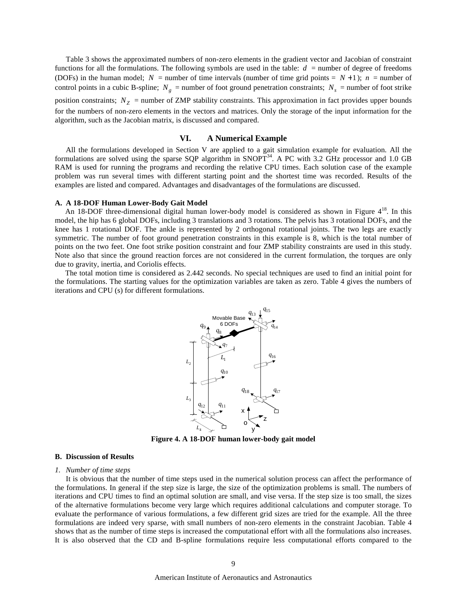Table 3 shows the approximated numbers of non-zero elements in the gradient vector and Jacobian of constraint functions for all the formulations. The following symbols are used in the table:  $d =$  number of degree of freedoms (DOFs) in the human model;  $N =$  number of time intervals (number of time grid points =  $N + 1$ );  $n =$  number of control points in a cubic B-spline;  $N_g$  = number of foot ground penetration constraints;  $N_s$  = number of foot strike position constraints;  $N_Z$  = number of ZMP stability constraints. This approximation in fact provides upper bounds for the numbers of non-zero elements in the vectors and matrices. Only the storage of the input information for the algorithm, such as the Jacobian matrix, is discussed and compared.

# **VI. A Numerical Example**

 All the formulations developed in Section V are applied to a gait simulation example for evaluation. All the formulations are solved using the sparse SQP algorithm in SNOPT<sup>34</sup>. A PC with 3.2 GHz processor and 1.0 GB RAM is used for running the programs and recording the relative CPU times. Each solution case of the example problem was run several times with different starting point and the shortest time was recorded. Results of the examples are listed and compared. Advantages and disadvantages of the formulations are discussed.

#### **A. A 18-DOF Human Lower-Body Gait Model**

An 18-DOF three-dimensional digital human lower-body model is considered as shown in Figure  $4^{18}$ . In this model, the hip has 6 global DOFs, including 3 translations and 3 rotations. The pelvis has 3 rotational DOFs, and the knee has 1 rotational DOF. The ankle is represented by 2 orthogonal rotational joints. The two legs are exactly symmetric. The number of foot ground penetration constraints in this example is 8, which is the total number of points on the two feet. One foot strike position constraint and four ZMP stability constraints are used in this study. Note also that since the ground reaction forces are not considered in the current formulation, the torques are only due to gravity, inertia, and Coriolis effects.

 The total motion time is considered as 2.442 seconds. No special techniques are used to find an initial point for the formulations. The starting values for the optimization variables are taken as zero. Table 4 gives the numbers of iterations and CPU (s) for different formulations.



**Figure 4. A 18-DOF human lower-body gait model** 

# **B. Discussion of Results**

## *1. Number of time steps*

 It is obvious that the number of time steps used in the numerical solution process can affect the performance of the formulations. In general if the step size is large, the size of the optimization problems is small. The numbers of iterations and CPU times to find an optimal solution are small, and vise versa. If the step size is too small, the sizes of the alternative formulations become very large which requires additional calculations and computer storage. To evaluate the performance of various formulations, a few different grid sizes are tried for the example. All the three formulations are indeed very sparse, with small numbers of non-zero elements in the constraint Jacobian. Table 4 shows that as the number of time steps is increased the computational effort with all the formulations also increases. It is also observed that the CD and B-spline formulations require less computational efforts compared to the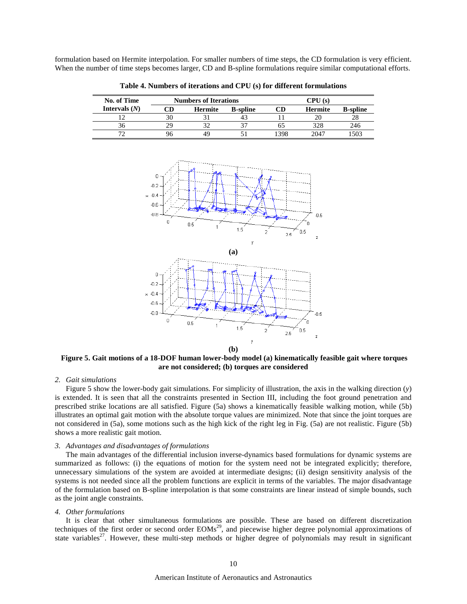formulation based on Hermite interpolation. For smaller numbers of time steps, the CD formulation is very efficient. When the number of time steps becomes larger, CD and B-spline formulations require similar computational efforts.

| No. of Time     | <b>Numbers of Iterations</b> |         |                  | CPU(s) |                |                  |
|-----------------|------------------------------|---------|------------------|--------|----------------|------------------|
| Intervals $(N)$ | $\mathbb{C}\mathbf{D}$       | Hermite | <b>B</b> -spline |        | <b>Hermite</b> | <b>B</b> -spline |
|                 | 30                           |         |                  |        |                |                  |
|                 | 29                           |         |                  |        | 328            | 246              |
|                 | 96                           | 49      |                  | '398   | 2047           | 503              |

**Table 4. Numbers of iterations and CPU (s) for different formulations** 



 **Figure 5. Gait motions of a 18-DOF human lower-body model (a) kinematically feasible gait where torques are not considered; (b) torques are considered** 

# *2. Gait simulations*

 Figure 5 show the lower-body gait simulations. For simplicity of illustration, the axis in the walking direction (*y*) is extended. It is seen that all the constraints presented in Section III, including the foot ground penetration and prescribed strike locations are all satisfied. Figure (5a) shows a kinematically feasible walking motion, while (5b) illustrates an optimal gait motion with the absolute torque values are minimized. Note that since the joint torques are not considered in (5a), some motions such as the high kick of the right leg in Fig. (5a) are not realistic. Figure (5b) shows a more realistic gait motion.

#### *3. Advantages and disadvantages of formulations*

 The main advantages of the differential inclusion inverse-dynamics based formulations for dynamic systems are summarized as follows: (i) the equations of motion for the system need not be integrated explicitly; therefore, unnecessary simulations of the system are avoided at intermediate designs; (ii) design sensitivity analysis of the systems is not needed since all the problem functions are explicit in terms of the variables. The major disadvantage of the formulation based on B-spline interpolation is that some constraints are linear instead of simple bounds, such as the joint angle constraints.

#### *4. Other formulations*

 It is clear that other simultaneous formulations are possible. These are based on different discretization techniques of the first order or second order  $EOMs<sup>29</sup>$ , and piecewise higher degree polynomial approximations of state variables<sup>27</sup>. However, these multi-step methods or higher degree of polynomials may result in significant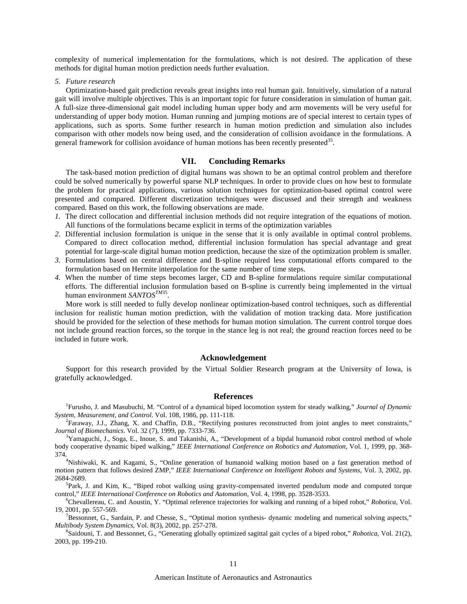complexity of numerical implementation for the formulations, which is not desired. The application of these methods for digital human motion prediction needs further evaluation.

#### *5. Future research*

 Optimization-based gait prediction reveals great insights into real human gait. Intuitively, simulation of a natural gait will involve multiple objectives. This is an important topic for future consideration in simulation of human gait. A full-size three-dimensional gait model including human upper body and arm movements will be very useful for understanding of upper body motion. Human running and jumping motions are of special interest to certain types of applications, such as sports. Some further research in human motion prediction and simulation also includes comparison with other models now being used, and the consideration of collision avoidance in the formulations. A general framework for collision avoidance of human motions has been recently presented $35$ .

# **VII. Concluding Remarks**

 The task-based motion prediction of digital humans was shown to be an optimal control problem and therefore could be solved numerically by powerful sparse NLP techniques. In order to provide clues on how best to formulate the problem for practical applications, various solution techniques for optimization-based optimal control were presented and compared. Different discretization techniques were discussed and their strength and weakness compared. Based on this work, the following observations are made.

- *1.* The direct collocation and differential inclusion methods did not require integration of the equations of motion. All functions of the formulations became explicit in terms of the optimization variables
- *2.* Differential inclusion formulation is unique in the sense that it is only available in optimal control problems. Compared to direct collocation method, differential inclusion formulation has special advantage and great potential for large-scale digital human motion prediction, because the size of the optimization problem is smaller.
- *3.* Formulations based on central difference and B-spline required less computational efforts compared to the formulation based on Hermite interpolation for the same number of time steps.
- *4.* When the number of time steps becomes larger, CD and B-spline formulations require similar computational efforts. The differential inclusion formulation based on B-spline is currently being implemented in the virtual human environment *SANTOSTM*<sup>35</sup> .

 More work is still needed to fully develop nonlinear optimization-based control techniques, such as differential inclusion for realistic human motion prediction, with the validation of motion tracking data. More justification should be provided for the selection of these methods for human motion simulation. The current control torque does not include ground reaction forces, so the torque in the stance leg is not real; the ground reaction forces need to be included in future work.

#### **Acknowledgement**

 Support for this research provided by the Virtual Soldier Research program at the University of Iowa, is gratefully acknowledged.

## **References**

1 Furusho, J. and Masubuchi, M. "Control of a dynamical biped locomotion system for steady walking," *Journal of Dynamic System, Measurement, and Control*. Vol. 108, 1986, pp. 111-118.

2 Faraway, J.J., Zhang, X. and Chaffin, D.B., "Rectifying postures reconstructed from joint angles to meet constraints," *Journal of Biomechanics*. Vol. 32 (7), 1999, pp. 7333-736.

 $3$ Yamaguchi, J., Soga, E., Inoue, S. and Takanishi, A., "Development of a bipdal humanoid robot control method of whole body cooperative dynamic biped walking," *IEEE International Conference on Robotics and Automation*, Vol. 1, 1999, pp. 368- 374.

<sup>4</sup>Nishiwaki, K. and Kagami, S., "Online generation of humanoid walking motion based on a fast generation method of motion pattern that follows desired ZMP," *IEEE International Conference on Intelligent Robots and Systems*, Vol. 3, 2002, pp. 2684-2689.

<sup>5</sup>Park, J. and Kim, K., "Biped robot walking using gravity-compensated inverted pendulum mode and computed torque control*,*" *IEEE International Conference on Robotics and Automation*, Vol. 4, 1998, pp. 3528-3533.

<sup>6</sup>Chevallereau, C. and Aoustin, Y. "Optimal reference trajectories for walking and running of a biped robot," *Robotica*, Vol. 19, 2001, pp. 557-569.

<sup>7</sup>Bessonnet, G., Sardain, P. and Chesse, S., "Optimal motion synthesis- dynamic modeling and numerical solving aspects*,*" *Multibody System Dynamics*, Vol. 8(3), 2002, pp. 257-278.

8 Saidouni, T. and Bessonnet, G., "Generating globally optimized sagittal gait cycles of a biped robot," *Robotica*, Vol. 21(2), 2003, pp. 199-210.